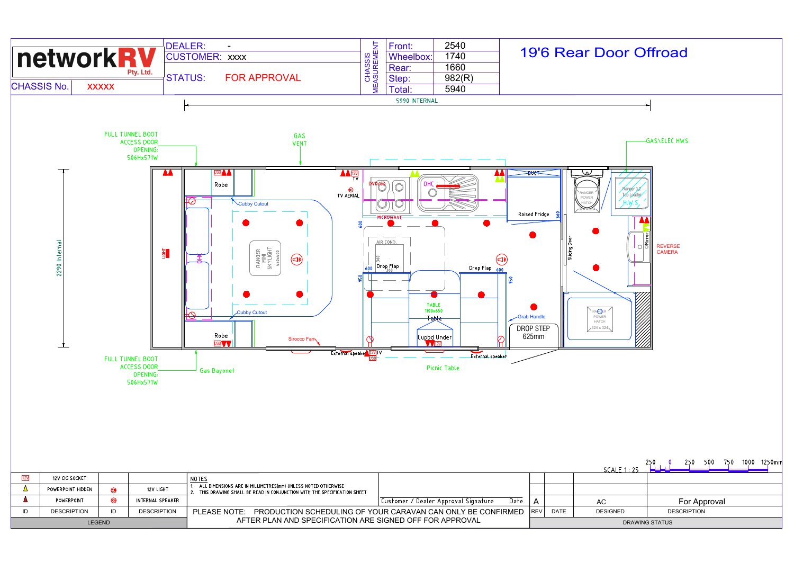

| LEGEND |                    |    |                    | AFTER PLAN AND SPECIFICATION ARE SIGNED OFF FOR APPROVAL                                                                               |                                                             |       |             |            |
|--------|--------------------|----|--------------------|----------------------------------------------------------------------------------------------------------------------------------------|-------------------------------------------------------------|-------|-------------|------------|
| ID     | <b>DESCRIPTION</b> | ıυ | <b>DESCRIPTION</b> | PLEASE NOTE:                                                                                                                           | PRODUCTION SCHEDULING OF YOUR CARAVAN CAN ONLY BE CONFIRMED | IREV' | <b>DATE</b> | <b>DES</b> |
|        | POWERPOINT         |    | INTERNAL SPEAKER   |                                                                                                                                        | Date<br>Customer / Dealer Approval Signature                | А     |             | AC         |
|        | POWERPOINT HIDDEN  |    | 12V LIGHT          | ALL DIMENSIONS ARE IN MILLIMETRES(mm) UNLESS NOTED OTHERWISE<br>THIS DRAWING SHALL BE READ IN CONJUNCTION WITH THE SPECIFICATION SHEET |                                                             |       |             |            |
| [12V   | 12V CIG SOCKET     |    |                    | NOTES                                                                                                                                  |                                                             |       |             |            |